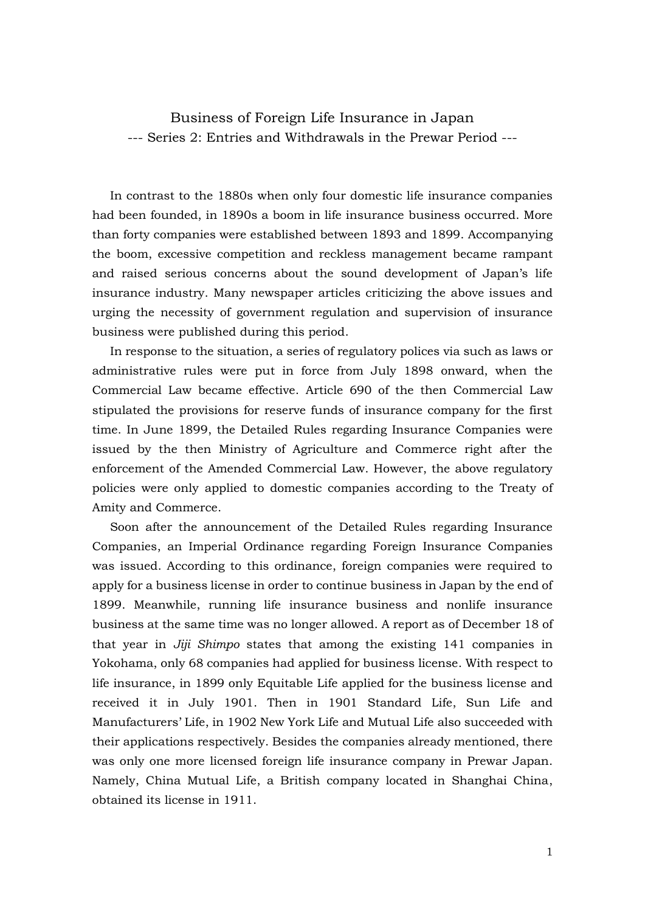Business of Foreign Life Insurance in Japan --- Series 2: Entries and Withdrawals in the Prewar Period ---

 In contrast to the 1880s when only four domestic life insurance companies had been founded, in 1890s a boom in life insurance business occurred. More than forty companies were established between 1893 and 1899. Accompanying the boom, excessive competition and reckless management became rampant and raised serious concerns about the sound development of Japan's life insurance industry. Many newspaper articles criticizing the above issues and urging the necessity of government regulation and supervision of insurance business were published during this period.

 In response to the situation, a series of regulatory polices via such as laws or administrative rules were put in force from July 1898 onward, when the Commercial Law became effective. Article 690 of the then Commercial Law stipulated the provisions for reserve funds of insurance company for the first time. In June 1899, the Detailed Rules regarding Insurance Companies were issued by the then Ministry of Agriculture and Commerce right after the enforcement of the Amended Commercial Law. However, the above regulatory policies were only applied to domestic companies according to the Treaty of Amity and Commerce.

 Soon after the announcement of the Detailed Rules regarding Insurance Companies, an Imperial Ordinance regarding Foreign Insurance Companies was issued. According to this ordinance, foreign companies were required to apply for a business license in order to continue business in Japan by the end of 1899. Meanwhile, running life insurance business and nonlife insurance business at the same time was no longer allowed. A report as of December 18 of that year in *Jiji Shimpo* states that among the existing 141 companies in Yokohama, only 68 companies had applied for business license. With respect to life insurance, in 1899 only Equitable Life applied for the business license and received it in July 1901. Then in 1901 Standard Life, Sun Life and Manufacturers' Life, in 1902 New York Life and Mutual Life also succeeded with their applications respectively. Besides the companies already mentioned, there was only one more licensed foreign life insurance company in Prewar Japan. Namely, China Mutual Life, a British company located in Shanghai China, obtained its license in 1911.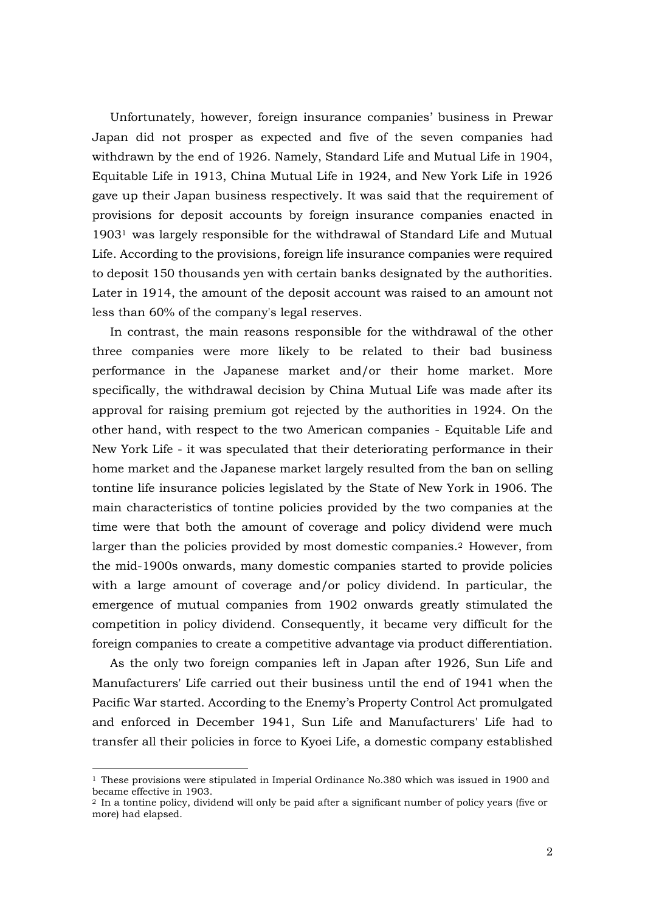Unfortunately, however, foreign insurance companies' business in Prewar Japan did not prosper as expected and five of the seven companies had withdrawn by the end of 1926. Namely, Standard Life and Mutual Life in 1904, Equitable Life in 1913, China Mutual Life in 1924, and New York Life in 1926 gave up their Japan business respectively. It was said that the requirement of provisions for deposit accounts by foreign insurance companies enacted in 1903<sup>1</sup> was largely responsible for the withdrawal of Standard Life and Mutual Life. According to the provisions, foreign life insurance companies were required to deposit 150 thousands yen with certain banks designated by the authorities. Later in 1914, the amount of the deposit account was raised to an amount not less than 60% of the company's legal reserves.

 In contrast, the main reasons responsible for the withdrawal of the other three companies were more likely to be related to their bad business performance in the Japanese market and/or their home market. More specifically, the withdrawal decision by China Mutual Life was made after its approval for raising premium got rejected by the authorities in 1924. On the other hand, with respect to the two American companies - Equitable Life and New York Life - it was speculated that their deteriorating performance in their home market and the Japanese market largely resulted from the ban on selling tontine life insurance policies legislated by the State of New York in 1906. The main characteristics of tontine policies provided by the two companies at the time were that both the amount of coverage and policy dividend were much larger than the policies provided by most domestic companies.<sup>2</sup> However, from the mid-1900s onwards, many domestic companies started to provide policies with a large amount of coverage and/or policy dividend. In particular, the emergence of mutual companies from 1902 onwards greatly stimulated the competition in policy dividend. Consequently, it became very difficult for the foreign companies to create a competitive advantage via product differentiation.

 As the only two foreign companies left in Japan after 1926, Sun Life and Manufacturers' Life carried out their business until the end of 1941 when the Pacific War started. According to the Enemy's Property Control Act promulgated and enforced in December 1941, Sun Life and Manufacturers' Life had to transfer all their policies in force to Kyoei Life, a domestic company established

-

<sup>1</sup> These provisions were stipulated in Imperial Ordinance No.380 which was issued in 1900 and became effective in 1903.

<sup>2</sup> In a tontine policy, dividend will only be paid after a significant number of policy years (five or more) had elapsed.